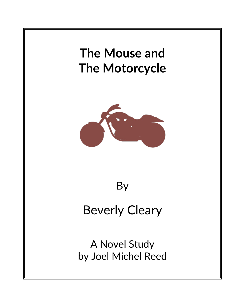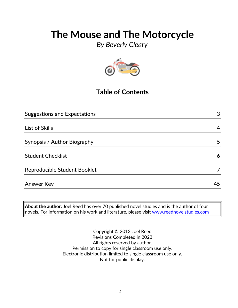*By Beverly Cleary*



## **Table of Contents**

| <b>Suggestions and Expectations</b> | 3  |
|-------------------------------------|----|
|                                     |    |
| List of Skills                      | 4  |
|                                     |    |
| Synopsis / Author Biography         | 5  |
|                                     |    |
| <b>Student Checklist</b>            | 6  |
|                                     |    |
| Reproducible Student Booklet        |    |
|                                     |    |
| <b>Answer Key</b>                   | 45 |

**About the author:** Joel Reed has over 70 published novel studies and is the author of four  $|$ novels. For information on his work and literature, please visit [www.reednovelstudies.com](http://www.reednovelstudies.com/)

> Copyright © 2013 Joel Reed Revisions Completed in 2022 All rights reserved by author. Permission to copy for single classroom use only. Electronic distribution limited to single classroom use only. Not for public display.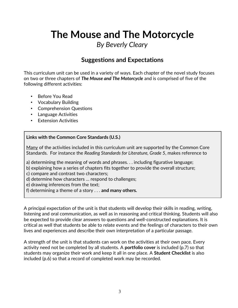*By Beverly Cleary*

### **Suggestions and Expectations**

This curriculum unit can be used in a variety of ways. Each chapter of the novel study focuses on two or three chapters of *The Mouse and The Motorcycle* and is comprised of five of the following different activities:

- Before You Read
- Vocabulary Building
- Comprehension Questions
- Language Activities
- **Extension Activities**

### **Links with the Common Core Standards (U.S.)**

Many of the activities included in this curriculum unit are supported by the Common Core Standards. For instance the *Reading Standards for Literature, Grade 5*, makes reference to

a) determining the meaning of words and phrases. . . including figurative language;

- b) explaining how a series of chapters fits together to provide the overall structure;
- c) compare and contrast two characters;
- d) determine how characters … respond to challenges;

e) drawing inferences from the text;

f) determining a theme of a story . . . **and many others.**

A principal expectation of the unit is that students will develop their skills in reading, writing, listening and oral communication, as well as in reasoning and critical thinking. Students will also be expected to provide clear answers to questions and well-constructed explanations. It is critical as well that students be able to relate events and the feelings of characters to their own lives and experiences and describe their own interpretation of a particular passage.

A strength of the unit is that students can work on the activities at their own pace. Every activity need not be completed by all students. A **portfolio cover** is included (p.7) so that students may organize their work and keep it all in one place. A **Student Checklist** is also included (p.6) so that a record of completed work may be recorded.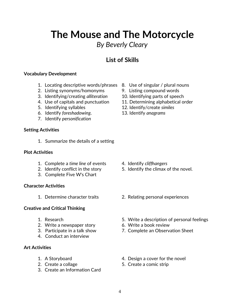## *By Beverly Cleary*

## **List of Skills**

### **Vocabulary Development**

- 1. Locating descriptive words/phrases 8. Use of singular / plural nouns
- 2. Listing synonyms/homonyms 9. Listing compound words
- 3. Identifying/creating *alliteration* 10. Identifying parts of speech
- 
- 
- 6. Identify *foreshadowing*. 13. Identify *anagrams*
- 7. Identify *personification*

### **Setting Activities**

1. Summarize the details of a setting

### **Plot Activities**

- 1. Complete a *time line* of events 4. Identify *cliffhangers*
- 
- 3. Complete Five W's Chart

### **Character Activities**

### **Creative and Critical Thinking**

- 
- 2. Write a newspaper story 6. Write a book review
- 
- 4. Conduct an interview

### **Art Activities**

- 
- 
- 3. Create an Information Card
- 
- 
- 
- 4. Use of capitals and punctuation 11. Determining alphabetical order
- 5. Identifying syllables 12. Identify/create *similes*
	-

- 
- 2. Identify conflict in the story 5. Identify the climax of the novel.
- 1. Determine character traits 2. Relating personal experiences
- 1. Research 5. Write a description of personal feelings
	-
- 3. Participate in a talk show 7. Complete an Observation Sheet
- 1. A Storyboard **1.** A Storyboard **1.** A Storyboard
- 2. Create a collage 5. Create a comic strip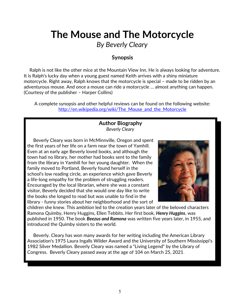*By Beverly Cleary*

### **Synopsis**

 Ralph is not like the other mice at the Mountain View Inn. He is always looking for adventure. It is Ralph's lucky day when a young guest named Keith arrives with a shiny miniature motorcycle. Right away, Ralph knows that the motorcycle is special – made to be ridden by an adventurous mouse. And once a mouse can ride a motorcycle … almost anything can happen. (Courtesy of the publisher – Harper Collins)

A complete synopsis and other helpful reviews can be found on the following website: http://en.wikipedia.org/wiki/The Mouse and the Motorcycle

### **Author Biography** *Beverly Cleary*

 Beverly Cleary was born in McMinnville, Oregon and spent the first years of her life on a farm near the town of Yamhill. Even at an early age Beverly loved books, and although the town had no library, her mother had books sent to the family from the library in Yamhill for her young daughter. When the family moved to Portland, Beverly found herself in the school's low reading circle, an experience which gave Beverly a life-long empathy for the problem of struggling readers. Encouraged by the local librarian, where she was a constant visitor, Beverly decided that she would one day like to write the books she longed to read but was unable to find in the library - funny stories about her neighborhood and the sort of



children she knew. This ambition led to the creation years later of the beloved characters Ramona Quimby, Henry Huggins, Ellen Tebbits. Her first book, *Henry Huggins*, was published in 1950. The book *Beezus and Ramona* was written five years later, in 1955, and introduced the Quimby sisters to the world.

 Beverly. Cleary has won many awards for her writing including the American Library Association's 1975 Laura Ingalls Wilder Award and the University of Southern Mississippi's 1982 Silver Medallion. Beverly Cleary was named a "Living Legend" by the Library of Congress. Beverly Cleary passed away at the age of 104 on March 25, 2021.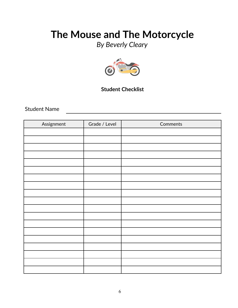*By Beverly Cleary*



### **Student Checklist**

Student Name

| Assignment | Grade / Level | Comments |
|------------|---------------|----------|
|            |               |          |
|            |               |          |
|            |               |          |
|            |               |          |
|            |               |          |
|            |               |          |
|            |               |          |
|            |               |          |
|            |               |          |
|            |               |          |
|            |               |          |
|            |               |          |
|            |               |          |
|            |               |          |
|            |               |          |
|            |               |          |
|            |               |          |
|            |               |          |
|            |               |          |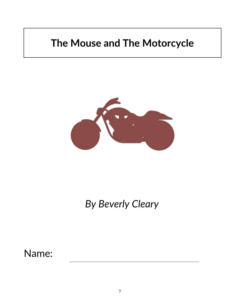

# *By Beverly Cleary*

Name: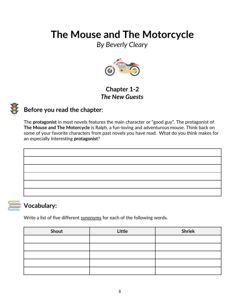*By Beverly Cleary*



### **Chapter 1-2** *The New Guests*



### **Before you read the chapter**:

The **protagonist** in most novels features the main character or "good guy". The protagonist of **The Mouse and The Motorcycle** is Ralph, a fun-loving and adventurous mouse. Think back on some of your favorite characters from past novels you have read. What do you think makes for an especially interesting **protagonist**?

### **Vocabulary:**

Write a list of five different synonyms for each of the following words.

| Shout | Little | <b>Shriek</b> |
|-------|--------|---------------|
|       |        |               |
|       |        |               |
|       |        |               |
|       |        |               |
|       |        |               |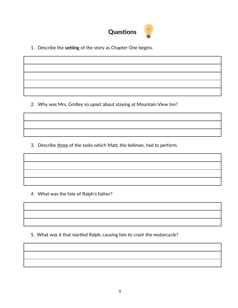

1. Describe the **setting** of the story as Chapter One begins.

2. Why was Mrs. Gridley so upset about staying at Mountain View Inn?

3. Describe three of the tasks which Matt, the bellman, had to perform.

4. What was the fate of Ralph's father?

5. What was it that startled Ralph, causing him to crash the motorcycle?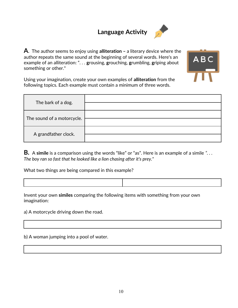## **Language Activity**



**A**. The author seems to enjoy using **alliteration –** a literary device where the author **r**epeats the same sound at the beginning of several words. Here's an example of an alliteration: ". . . **g**rousing, **g**rouching, **g**rumbling, **g**riping about something or other."



Using your imagination, create your own examples of **alliteration** from the following topics. Each example must contain a minimum of three words.

| The bark of a dog.         |  |
|----------------------------|--|
| The sound of a motorcycle. |  |
| A grandfather clock.       |  |

**B.** A **simile** is a comparison using the words "like" or "as". Here is an example of a simile *". . . The boy ran so fast that he looked like a lion chasing after it's prey."*

What two things are being compared in this example?

Invent your own **similes** comparing the following items with something from your own imagination:

a) A motorcycle driving down the road.

b) A woman jumping into a pool of water.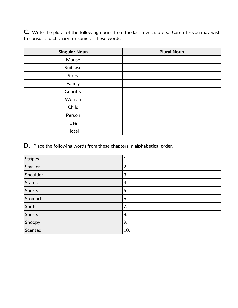**C.** Write the plural of the following nouns from the last few chapters. Careful – you may wish to consult a dictionary for some of these words.

| <b>Singular Noun</b> | <b>Plural Noun</b> |
|----------------------|--------------------|
| Mouse                |                    |
| Suitcase             |                    |
| Story                |                    |
| Family               |                    |
| Country              |                    |
| Woman                |                    |
| Child                |                    |
| Person               |                    |
| Life                 |                    |
| Hotel                |                    |

**D.** Place the following words from these chapters in **alphabetical order**.

| <b>Stripes</b> | 1.  |
|----------------|-----|
| Smaller        | 2.  |
| Shoulder       | 3.  |
| <b>States</b>  | 4.  |
| Shorts         | 5.  |
| Stomach        | 6.  |
| Sniffs         | 7.  |
| Sports         | 8.  |
| Snoopy         | 9.  |
| Scented        | 10. |